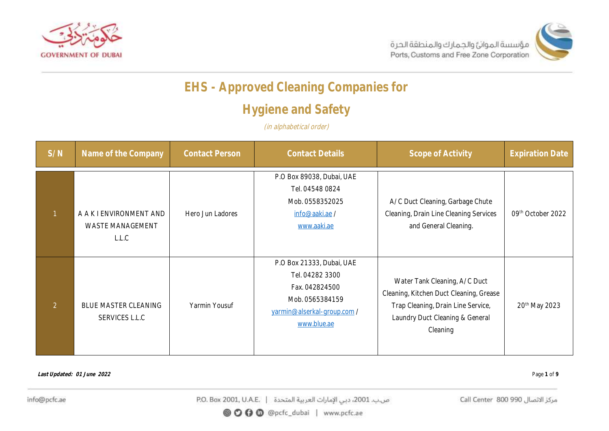



**Hygiene and Safety** 

(in alphabetical order)

| S/N | Name of the Company                                  | <b>Contact Person</b> | <b>Contact Details</b>                                                                                                          | Scope of Activity                                                                                                                                             | <b>Expiration Date</b>    |
|-----|------------------------------------------------------|-----------------------|---------------------------------------------------------------------------------------------------------------------------------|---------------------------------------------------------------------------------------------------------------------------------------------------------------|---------------------------|
|     | A A K I ENVIRONMENT AND<br>WASTE MANAGEMENT<br>L.L.C | Hero Jun Ladores      | P.O Box 89038, Dubai, UAE<br>Tel. 04548 0824<br>Mob. 0558352025<br>info@aaki.ae /<br>www.aaki.ae                                | A/C Duct Cleaning, Garbage Chute<br>Cleaning, Drain Line Cleaning Services<br>and General Cleaning.                                                           | 09th October 2022         |
| 2   | BLUE MASTER CLEANING<br>SERVICES L.L.C               | Yarmin Yousuf         | P.O Box 21333, Dubai, UAE<br>Tel. 04282 3300<br>Fax. 042824500<br>Mob. 0565384159<br>yarmin@alserkal-group.com /<br>www.blue.ae | Water Tank Cleaning, A/C Duct<br>Cleaning, Kitchen Duct Cleaning, Grease<br>Trap Cleaning, Drain Line Service,<br>Laundry Duct Cleaning & General<br>Cleaning | 20 <sup>th</sup> May 2023 |

**Last Updated: 01 June 2022** Page **1** of **9**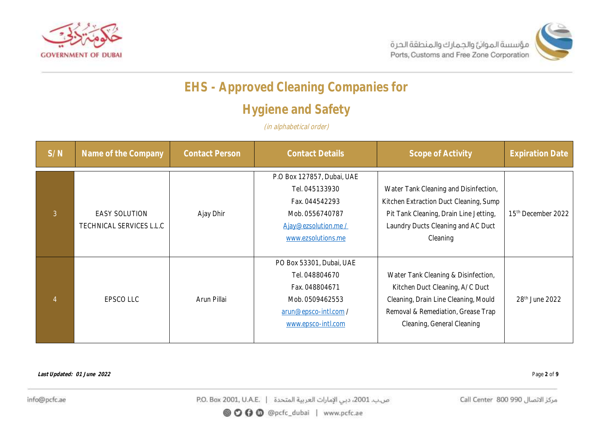



**Hygiene and Safety** 

(in alphabetical order)

| S/N            | Name of the Company                              | <b>Contact Person</b> | <b>Contact Details</b>                                                                                                          | Scope of Activity                                                                                                                                                                  | <b>Expiration Date</b>         |
|----------------|--------------------------------------------------|-----------------------|---------------------------------------------------------------------------------------------------------------------------------|------------------------------------------------------------------------------------------------------------------------------------------------------------------------------------|--------------------------------|
| 3              | <b>EASY SOLUTION</b><br>TECHNICAL SERVICES L.L.C | Ajay Dhir             | P.O Box 127857, Dubai, UAE<br>Tel. 045133930<br>Fax. 044542293<br>Mob. 0556740787<br>Ajay@ezsolution.me /<br>www.ezsolutions.me | Water Tank Cleaning and Disinfection,<br>Kitchen Extraction Duct Cleaning, Sump<br>Pit Tank Cleaning, Drain Line Jetting,<br>Laundry Ducts Cleaning and AC Duct<br>Cleaning        | 15 <sup>th</sup> December 2022 |
| $\overline{4}$ | EPSCO LLC                                        | Arun Pillai           | PO Box 53301, Dubai, UAE<br>Tel. 048804670<br>Fax. 048804671<br>Mob. 0509462553<br>arun@epsco-intl.com /<br>www.epsco-intl.com  | Water Tank Cleaning & Disinfection,<br>Kitchen Duct Cleaning, A/C Duct<br>Cleaning, Drain Line Cleaning, Mould<br>Removal & Remediation, Grease Trap<br>Cleaning, General Cleaning | 28 <sup>th</sup> June 2022     |

**Last Updated: 01 June 2022** Page **2** of **9**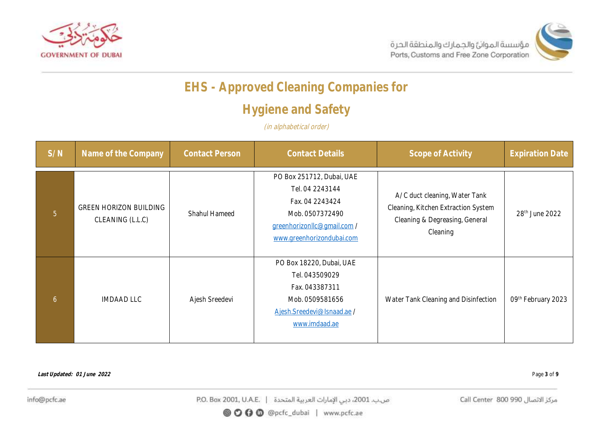



**Hygiene and Safety** 

(in alphabetical order)

| S/N | Name of the Company                               | Contact Person | <b>Contact Details</b>                                                                                                                         | Scope of Activity                                                                                                  | <b>Expiration Date</b>     |
|-----|---------------------------------------------------|----------------|------------------------------------------------------------------------------------------------------------------------------------------------|--------------------------------------------------------------------------------------------------------------------|----------------------------|
| 5   | <b>GREEN HORIZON BUILDING</b><br>CLEANING (L.L.C) | Shahul Hameed  | PO Box 251712, Dubai, UAE<br>Tel. 04 2243144<br>Fax. 04 2243424<br>Mob. 0507372490<br>greenhorizonllc@gmail.com /<br>www.greenhorizondubai.com | A/C duct cleaning, Water Tank<br>Cleaning, Kitchen Extraction System<br>Cleaning & Degreasing, General<br>Cleaning | 28 <sup>th</sup> June 2022 |
| 6   | <b>IMDAAD LLC</b>                                 | Ajesh Sreedevi | PO Box 18220, Dubai, UAE<br>Tel. 043509029<br>Fax. 043387311<br>Mob. 0509581656<br>Ajesh.Sreedevi@Isnaad.ae /<br>www.imdaad.ae                 | Water Tank Cleaning and Disinfection                                                                               | 09th February 2023         |

**Last Updated: 01 June 2022** Page **3** of **9**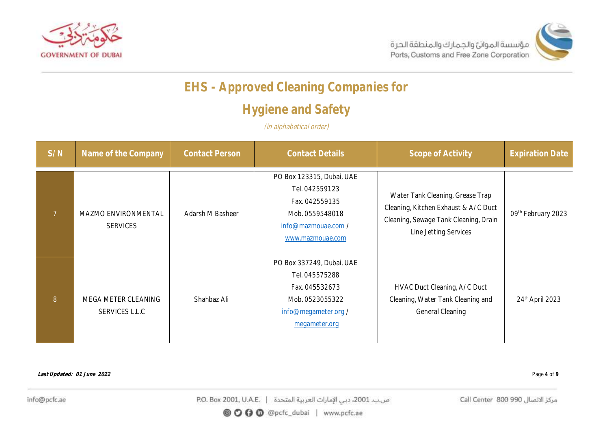



**Hygiene and Safety** 

(in alphabetical order)

| S/N | Name of the Company                    | <b>Contact Person</b> | <b>Contact Details</b>                                                                                                      | Scope of Activity                                                                                                                          | <b>Expiration Date</b> |
|-----|----------------------------------------|-----------------------|-----------------------------------------------------------------------------------------------------------------------------|--------------------------------------------------------------------------------------------------------------------------------------------|------------------------|
|     | MAZMO ENVIRONMENTAL<br><b>SERVICES</b> | Adarsh M Basheer      | PO Box 123315, Dubai, UAE<br>Tel. 042559123<br>Fax. 042559135<br>Mob. 0559548018<br>info@mazmouae.com /<br>www.mazmouae.com | Water Tank Cleaning, Grease Trap<br>Cleaning, Kitchen Exhaust & A/C Duct<br>Cleaning, Sewage Tank Cleaning, Drain<br>Line Jetting Services | 09th February 2023     |
| 8   | MEGA METER CLEANING<br>SERVICES L.L.C  | Shahbaz Ali           | PO Box 337249, Dubai, UAE<br>Tel. 045575288<br>Fax. 045532673<br>Mob. 0523055322<br>info@megameter.org /<br>megameter.org   | HVAC Duct Cleaning, A/C Duct<br>Cleaning, Water Tank Cleaning and<br>General Cleaning                                                      | 24th April 2023        |

**Last Updated: 01 June 2022** Page **4** of **9**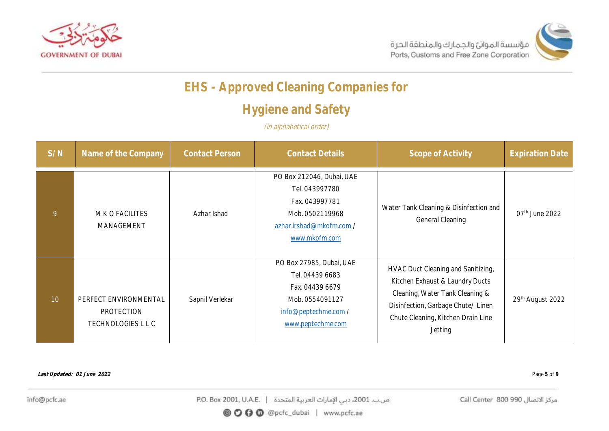



**Hygiene and Safety** 

(in alphabetical order)

| S/N | Name of the Company                                       | <b>Contact Person</b> | <b>Contact Details</b>                                                                                                         | Scope of Activity                                                                                                                                                                               | <b>Expiration Date</b>     |
|-----|-----------------------------------------------------------|-----------------------|--------------------------------------------------------------------------------------------------------------------------------|-------------------------------------------------------------------------------------------------------------------------------------------------------------------------------------------------|----------------------------|
| 9   | M K O FACILITES<br>MANAGEMENT                             | Azhar Ishad           | PO Box 212046, Dubai, UAE<br>Tel. 043997780<br>Fax. 043997781<br>Mob. 0502119968<br>azhar.irshad@mkofm.com /<br>www.mkofm.com  | Water Tank Cleaning & Disinfection and<br>General Cleaning                                                                                                                                      | 07 <sup>th</sup> June 2022 |
| 10  | PERFECT ENVIRONMENTAL<br>PROTECTION<br>TECHNOLOGIES L L C | Sapnil Verlekar       | PO Box 27985, Dubai, UAE<br>Tel. 04439 6683<br>Fax. 04439 6679<br>Mob. 0554091127<br>info@peptechme.com /<br>www.peptechme.com | HVAC Duct Cleaning and Sanitizing,<br>Kitchen Exhaust & Laundry Ducts<br>Cleaning, Water Tank Cleaning &<br>Disinfection, Garbage Chute/ Linen<br>Chute Cleaning, Kitchen Drain Line<br>Jetting | 29th August 2022           |

**Last Updated: 01 June 2022** Page **5** of **9**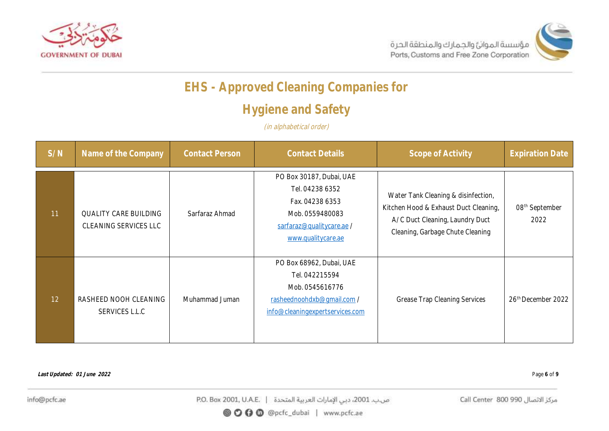



**Hygiene and Safety** 

(in alphabetical order)

| S/N             | Name of the Company                                   | <b>Contact Person</b> | <b>Contact Details</b>                                                                                                               | Scope of Activity                                                                                                                                   | <b>Expiration Date</b>         |
|-----------------|-------------------------------------------------------|-----------------------|--------------------------------------------------------------------------------------------------------------------------------------|-----------------------------------------------------------------------------------------------------------------------------------------------------|--------------------------------|
| 11              | <b>QUALITY CARE BUILDING</b><br>CLEANING SERVICES LLC | Sarfaraz Ahmad        | PO Box 30187, Dubai, UAE<br>Tel. 04238 6352<br>Fax. 04238 6353<br>Mob. 0559480083<br>sarfaraz@qualitycare.ae /<br>www.qualitycare.ae | Water Tank Cleaning & disinfection,<br>Kitchen Hood & Exhaust Duct Cleaning,<br>A/C Duct Cleaning, Laundry Duct<br>Cleaning, Garbage Chute Cleaning | 08th September<br>2022         |
| 12 <sup>°</sup> | RASHEED NOOH CLEANING<br>SERVICES L.L.C               | Muhammad Juman        | PO Box 68962, Dubai, UAE<br>Tel. 042215594<br>Mob. 0545616776<br>rasheednoohdxb@qmail.com /<br>info@cleaningexpertservices.com       | <b>Grease Trap Cleaning Services</b>                                                                                                                | 26 <sup>th</sup> December 2022 |

**Last Updated: 01 June 2022** Page **6** of **9**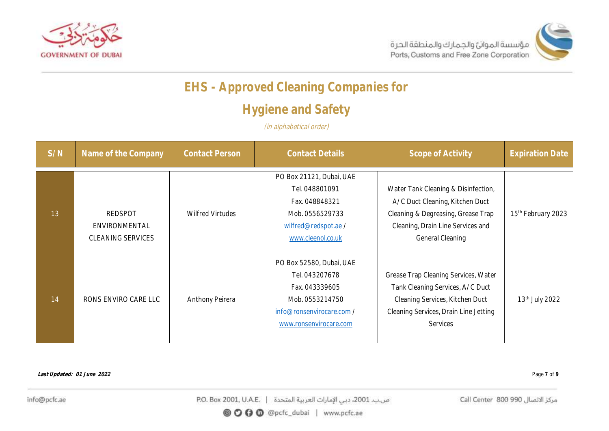



**Hygiene and Safety** 

(in alphabetical order)

| S/N | Name of the Company                           | <b>Contact Person</b> | <b>Contact Details</b>                                                                                                                 | Scope of Activity                                                                                                                                                       | <b>Expiration Date</b>     |
|-----|-----------------------------------------------|-----------------------|----------------------------------------------------------------------------------------------------------------------------------------|-------------------------------------------------------------------------------------------------------------------------------------------------------------------------|----------------------------|
| 13  | REDSPOT<br>ENVIRONMENTAL<br>CLEANING SERVICES | Wilfred Virtudes      | PO Box 21121, Dubai, UAE<br>Tel. 048801091<br>Fax. 048848321<br>Mob. 0556529733<br>wilfred@redspot.ae /<br>www.cleenol.co.uk           | Water Tank Cleaning & Disinfection,<br>A/C Duct Cleaning, Kitchen Duct<br>Cleaning & Degreasing, Grease Trap<br>Cleaning, Drain Line Services and<br>General Cleaning   | 15th February 2023         |
| 14  | RONS ENVIRO CARE LLC                          | Anthony Peirera       | PO Box 52580, Dubai, UAE<br>Tel. 043207678<br>Fax. 043339605<br>Mob. 0553214750<br>info@ronsenvirocare.com /<br>www.ronsenvirocare.com | Grease Trap Cleaning Services, Water<br>Tank Cleaning Services, A/C Duct<br>Cleaning Services, Kitchen Duct<br>Cleaning Services, Drain Line Jetting<br><b>Services</b> | 13 <sup>th</sup> July 2022 |

**Last Updated: 01 June 2022** Page **7** of **9**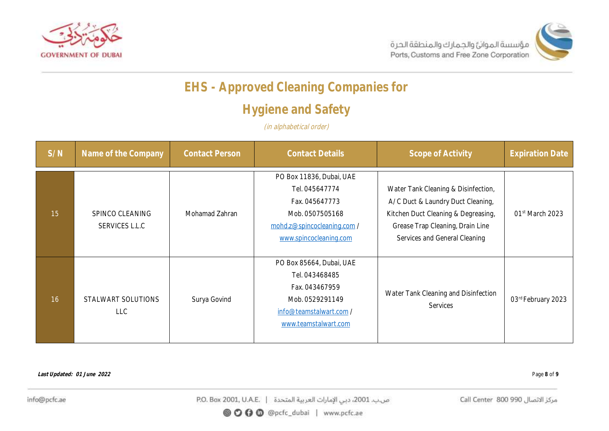



**Hygiene and Safety** 

(in alphabetical order)

| S/N | Name of the Company               | Contact Person | <b>Contact Details</b>                                                                                                                   | Scope of Activity                                                                                                                                                                    | <b>Expiration Date</b>      |
|-----|-----------------------------------|----------------|------------------------------------------------------------------------------------------------------------------------------------------|--------------------------------------------------------------------------------------------------------------------------------------------------------------------------------------|-----------------------------|
| 15  | SPINCO CLEANING<br>SERVICES L.L.C | Mohamad Zahran | PO Box 11836, Dubai, UAE<br>Tel. 045647774<br>Fax. 045647773<br>Mob. 0507505168<br>mohd.z@spincocleaning.com /<br>www.spincocleaning.com | Water Tank Cleaning & Disinfection,<br>A/C Duct & Laundry Duct Cleaning,<br>Kitchen Duct Cleaning & Degreasing,<br>Grease Trap Cleaning, Drain Line<br>Services and General Cleaning | 01 <sup>st</sup> March 2023 |
| 16  | STALWART SOLUTIONS<br><b>LLC</b>  | Surya Govind   | PO Box 85664, Dubai, UAE<br>Tel. 043468485<br>Fax. 043467959<br>Mob. 0529291149<br>info@teamstalwart.com /<br>www.teamstalwart.com       | Water Tank Cleaning and Disinfection<br>Services                                                                                                                                     | 03rd February 2023          |

**Last Updated: 01 June 2022** Page **8** of **9**